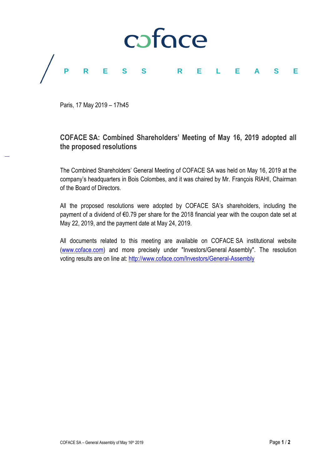

Paris, 17 May 2019 – 17h45

# **COFACE SA: Combined Shareholders' Meeting of May 16, 2019 adopted all the proposed resolutions**

The Combined Shareholders' General Meeting of COFACE SA was held on May 16, 2019 at the company's headquarters in Bois Colombes, and it was chaired by Mr. François RIAHI, Chairman of the Board of Directors.

All the proposed resolutions were adopted by COFACE SA's shareholders, including the payment of a dividend of €0.79 per share for the 2018 financial year with the coupon date set at May 22, 2019, and the payment date at May 24, 2019.

All documents related to this meeting are available on COFACE SA institutional website [\(www.coface.com\)](http://www.coface.com/) and more precisely under "Investors/General Assembly". The resolution voting results are on line at:<http://www.coface.com/Investors/General-Assembly>